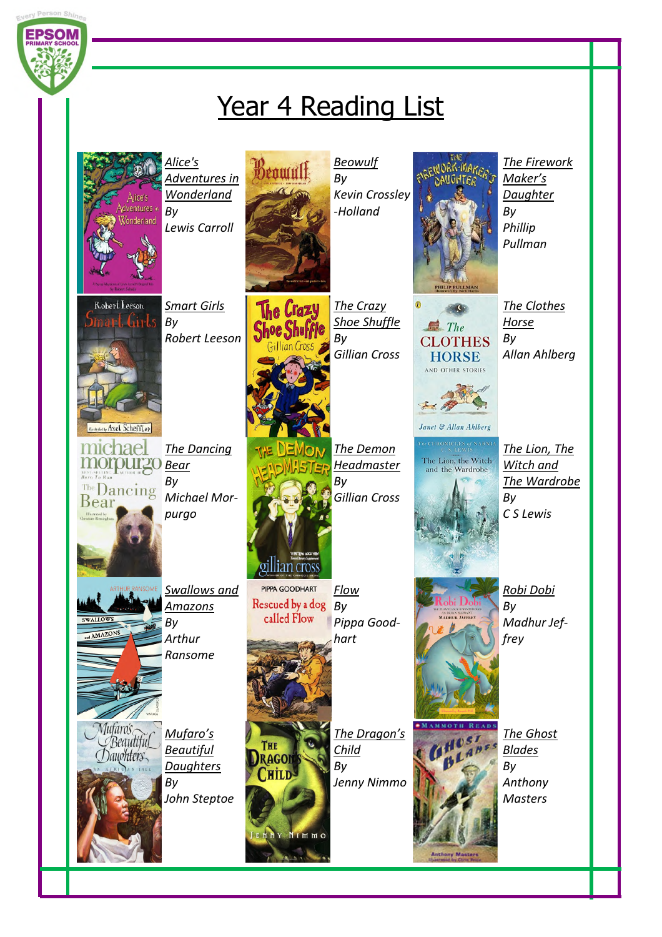

## Year 4 Reading List